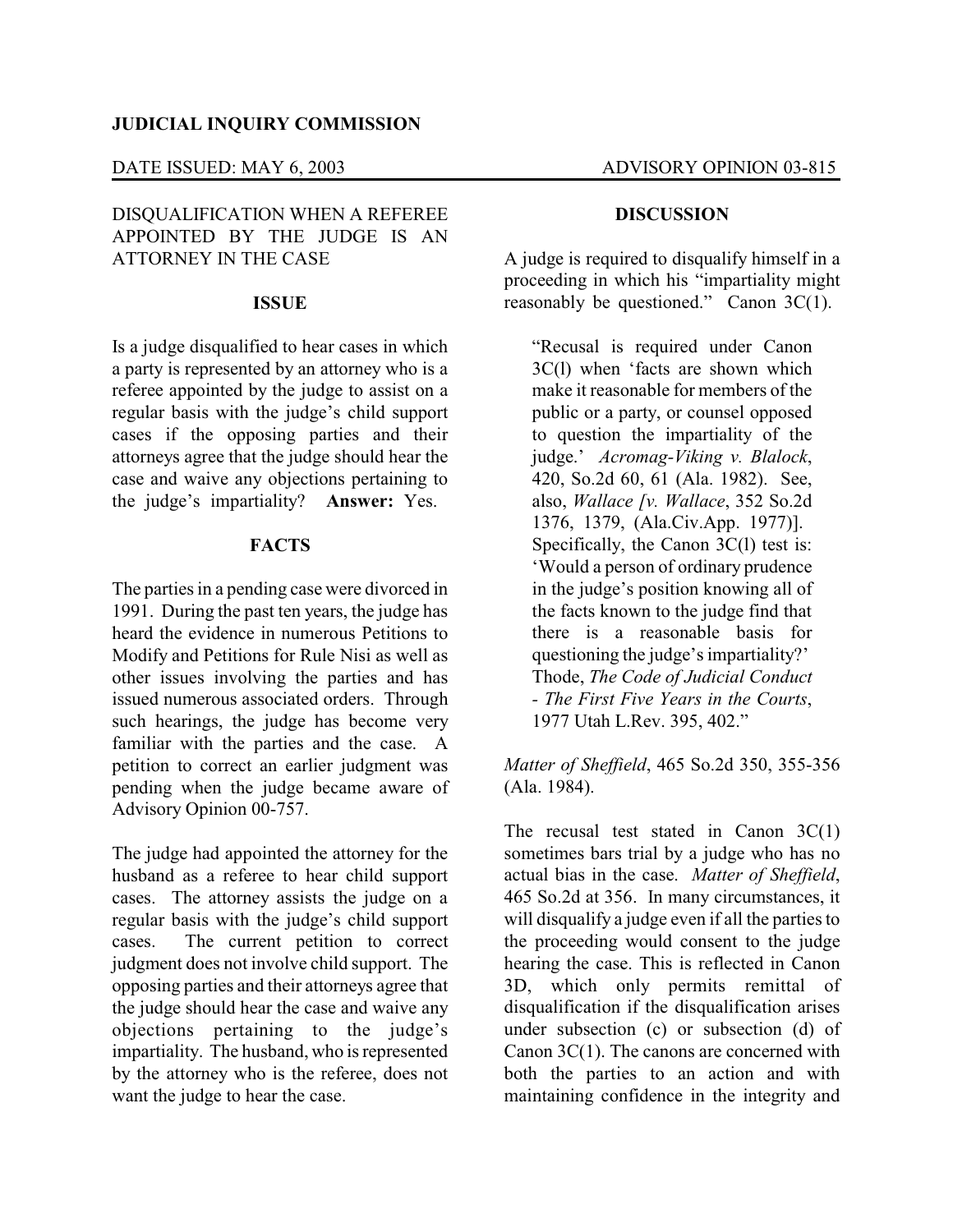### DATE ISSUED: MAY 6, 2003 ADVISORY OPINION 03-815

# DISQUALIFICATION WHEN A REFEREE APPOINTED BY THE JUDGE IS AN ATTORNEY IN THE CASE

#### **ISSUE**

Is a judge disqualified to hear cases in which a party is represented by an attorney who is a referee appointed by the judge to assist on a regular basis with the judge's child support cases if the opposing parties and their attorneys agree that the judge should hear the case and waive any objections pertaining to the judge's impartiality? **Answer:** Yes.

#### **FACTS**

The parties in a pending case were divorced in 1991. During the past ten years, the judge has heard the evidence in numerous Petitions to Modify and Petitions for Rule Nisi as well as other issues involving the parties and has issued numerous associated orders. Through such hearings, the judge has become very familiar with the parties and the case. A petition to correct an earlier judgment was pending when the judge became aware of Advisory Opinion 00-757.

The judge had appointed the attorney for the husband as a referee to hear child support cases. The attorney assists the judge on a regular basis with the judge's child support cases. The current petition to correct judgment does not involve child support. The opposing parties and their attorneys agree that the judge should hear the case and waive any objections pertaining to the judge's impartiality. The husband, who is represented by the attorney who is the referee, does not want the judge to hear the case.

#### **DISCUSSION**

A judge is required to disqualify himself in a proceeding in which his "impartiality might reasonably be questioned." Canon 3C(1).

"Recusal is required under Canon 3C(l) when 'facts are shown which make it reasonable for members of the public or a party, or counsel opposed to question the impartiality of the judge.' *Acromag-Viking v. Blalock*, 420, So.2d 60, 61 (Ala. 1982). See, also, *Wallace [v. Wallace*, 352 So.2d 1376, 1379, (Ala.Civ.App. 1977)]. Specifically, the Canon 3C(1) test is: 'Would a person of ordinary prudence in the judge's position knowing all of the facts known to the judge find that there is a reasonable basis for questioning the judge's impartiality?' Thode, *The Code of Judicial Conduct - The First Five Years in the Courts*, 1977 Utah L.Rev. 395, 402."

*Matter of Sheffield*, 465 So.2d 350, 355-356 (Ala. 1984).

The recusal test stated in Canon  $3C(1)$ sometimes bars trial by a judge who has no actual bias in the case. *Matter of Sheffield*, 465 So.2d at 356. In many circumstances, it will disqualify a judge even if all the parties to the proceeding would consent to the judge hearing the case. This is reflected in Canon 3D, which only permits remittal of disqualification if the disqualification arises under subsection (c) or subsection (d) of Canon 3C(1). The canons are concerned with both the parties to an action and with maintaining confidence in the integrity and